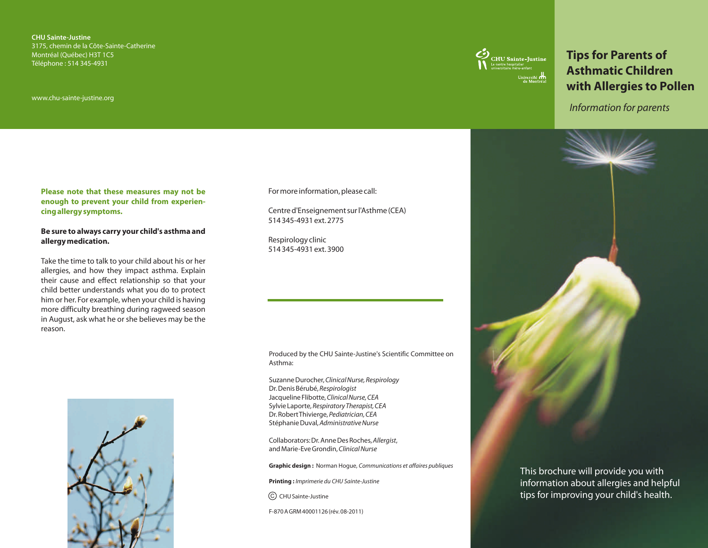**CHU Sainte-Justine** 3175, chemin de la Côte-Sainte-Catherine Montréal (Québec) H3T 1C5 Téléphone : 514 345-4931

www.chu-sainte-justine.org

CHU Sainte-Justine

## **Tips for Parents of Asthmatic Children with Allergies to Pollen**

*Information for parents*

**Please note that these measures may not be enough to prevent your child from experiencing allergy symptoms.**

**Be sure to always carry your child's asthma and allergy medication.**

Take the time to talk to your child about his or her allergies, and how they impact asthma. Explain their cause and effect relationship so that your child better understands what you do to protect him or her. For example, when your child is having more difficulty breathing during ragweed season in August, ask what he or she believes may be the reason.



For more information, please call:

Centre d'Enseignement sur l'Asthme (CEA) 514 345-4931 ext. 2775

Respirology clinic 514 345-4931 ext. 3900

Produced by the CHU Sainte-Justine's Scientific Committee on Asthma:

Suzanne Durocher, *Clinical Nurse, Respirology* Dr. Denis Bérubé, *Respirologist* Jacqueline Flibotte, *Clinical Nurse, CEA* Sylvie Laporte, *Respiratory Therapist, CEA* Dr. Robert Thivierge, *Pediatrician, CEA* Stéphanie Duval, *Administrative Nurse* 

Collaborators: Dr. Anne Des Roches, *Allergist*, and Marie-Eve Grondin, *Clinical Nurse*

**Graphic design :** Norman Hogue, *Communications et affaires publiques*

**Printing :** *Imprimerie du CHU Sainte-Justine*

C CHU Sainte-Justine

F-870 A GRM 40001126 (rév. 08-2011)



This brochure will provide you with information about allergies and helpful tips for improving your child's health.